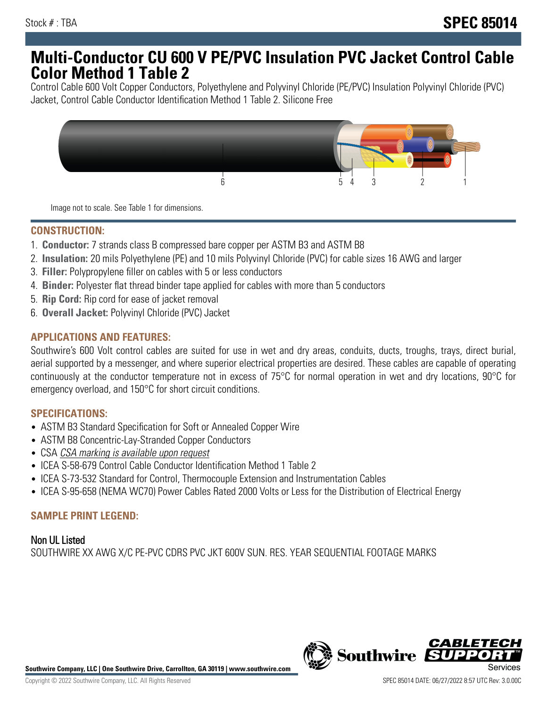# **Multi-Conductor CU 600 V PE/PVC Insulation PVC Jacket Control Cable Color Method 1 Table 2**

Control Cable 600 Volt Copper Conductors, Polyethylene and Polyvinyl Chloride (PE/PVC) Insulation Polyvinyl Chloride (PVC) Jacket, Control Cable Conductor Identification Method 1 Table 2. Silicone Free



Image not to scale. See Table 1 for dimensions.

#### **CONSTRUCTION:**

- 1. **Conductor:** 7 strands class B compressed bare copper per ASTM B3 and ASTM B8
- 2. **Insulation:** 20 mils Polyethylene (PE) and 10 mils Polyvinyl Chloride (PVC) for cable sizes 16 AWG and larger
- 3. **Filler:** Polypropylene filler on cables with 5 or less conductors
- 4. **Binder:** Polyester flat thread binder tape applied for cables with more than 5 conductors
- 5. **Rip Cord:** Rip cord for ease of jacket removal
- 6. **Overall Jacket:** Polyvinyl Chloride (PVC) Jacket

## **APPLICATIONS AND FEATURES:**

Southwire's 600 Volt control cables are suited for use in wet and dry areas, conduits, ducts, troughs, trays, direct burial, aerial supported by a messenger, and where superior electrical properties are desired. These cables are capable of operating continuously at the conductor temperature not in excess of 75°C for normal operation in wet and dry locations, 90°C for emergency overload, and 150°C for short circuit conditions.

#### **SPECIFICATIONS:**

- ASTM B3 Standard Specification for Soft or Annealed Copper Wire
- ASTM B8 Concentric-Lay-Stranded Copper Conductors
- CSA CSA marking is available upon request
- ICEA S-58-679 Control Cable Conductor Identification Method 1 Table 2
- ICEA S-73-532 Standard for Control, Thermocouple Extension and Instrumentation Cables
- ICEA S-95-658 (NEMA WC70) Power Cables Rated 2000 Volts or Less for the Distribution of Electrical Energy

#### **SAMPLE PRINT LEGEND:**

Non UL Listed SOUTHWIRE XX AWG X/C PE-PVC CDRS PVC JKT 600V SUN. RES. YEAR SEQUENTIAL FOOTAGE MARKS



**Southwire Company, LLC | One Southwire Drive, Carrollton, GA 30119 | www.southwire.com**